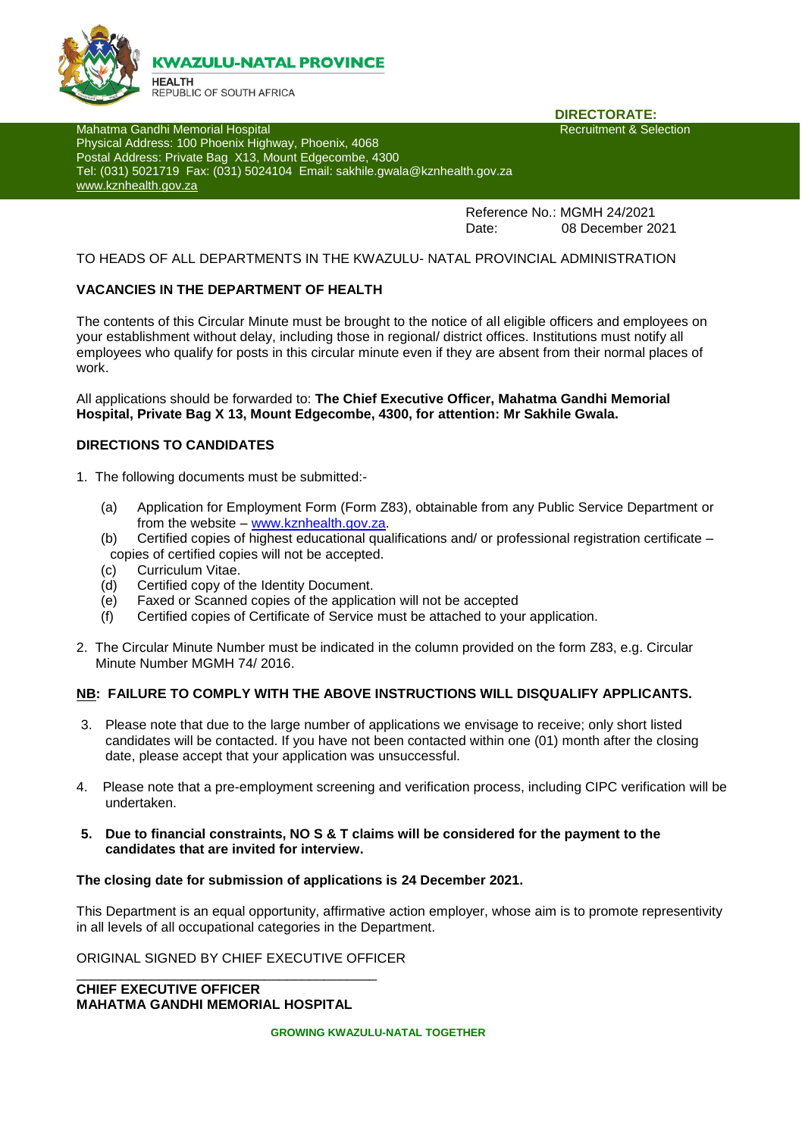

**DIRECTORATE:**<br>Recruitment & Selection

Mahatma Gandhi Memorial Hospital Physical Address: 100 Phoenix Highway, Phoenix, 4068 Postal Address: Private Bag X13, Mount Edgecombe, 4300 Tel: (031) 5021719 Fax: (031) 5024104 Email: sakhile.gwala@kznhealth.gov.za [www.kznhealth.gov.za](http://www.kznhealth.gov.za/)

> Reference No.: MGMH 24/2021 Date: 08 December 2021

### TO HEADS OF ALL DEPARTMENTS IN THE KWAZULU- NATAL PROVINCIAL ADMINISTRATION

### **VACANCIES IN THE DEPARTMENT OF HEALTH**

The contents of this Circular Minute must be brought to the notice of all eligible officers and employees on your establishment without delay, including those in regional/ district offices. Institutions must notify all employees who qualify for posts in this circular minute even if they are absent from their normal places of work.

All applications should be forwarded to: **The Chief Executive Officer, Mahatma Gandhi Memorial Hospital, Private Bag X 13, Mount Edgecombe, 4300, for attention: Mr Sakhile Gwala.**

### **DIRECTIONS TO CANDIDATES**

- 1. The following documents must be submitted:-
	- (a) Application for Employment Form (Form Z83), obtainable from any Public Service Department or from the website – [www.kznhealth.gov.za.](http://www.kznhealth.gov.za/)
	- (b) Certified copies of highest educational qualifications and/ or professional registration certificate copies of certified copies will not be accepted.
	- (c) Curriculum Vitae.
	- (d) Certified copy of the Identity Document.
	- (e) Faxed or Scanned copies of the application will not be accepted<br>
	(f) Certified copies of Certificate of Service must be attached to vou
	- Certified copies of Certificate of Service must be attached to your application.
- 2. The Circular Minute Number must be indicated in the column provided on the form Z83, e.g. Circular Minute Number MGMH 74/ 2016.

#### **NB: FAILURE TO COMPLY WITH THE ABOVE INSTRUCTIONS WILL DISQUALIFY APPLICANTS.**

- 3. Please note that due to the large number of applications we envisage to receive; only short listed candidates will be contacted. If you have not been contacted within one (01) month after the closing date, please accept that your application was unsuccessful.
- 4. Please note that a pre-employment screening and verification process, including CIPC verification will be undertaken.
- **5. Due to financial constraints, NO S & T claims will be considered for the payment to the candidates that are invited for interview.**

### **The closing date for submission of applications is 24 December 2021.**

This Department is an equal opportunity, affirmative action employer, whose aim is to promote representivity in all levels of all occupational categories in the Department.

ORIGINAL SIGNED BY CHIEF EXECUTIVE OFFICER

**CHIEF EXECUTIVE OFFICER MAHATMA GANDHI MEMORIAL HOSPITAL**

\_\_\_\_\_\_\_\_\_\_\_\_\_\_\_\_\_\_\_\_\_\_\_\_\_\_\_\_\_\_\_\_\_\_\_\_\_\_\_\_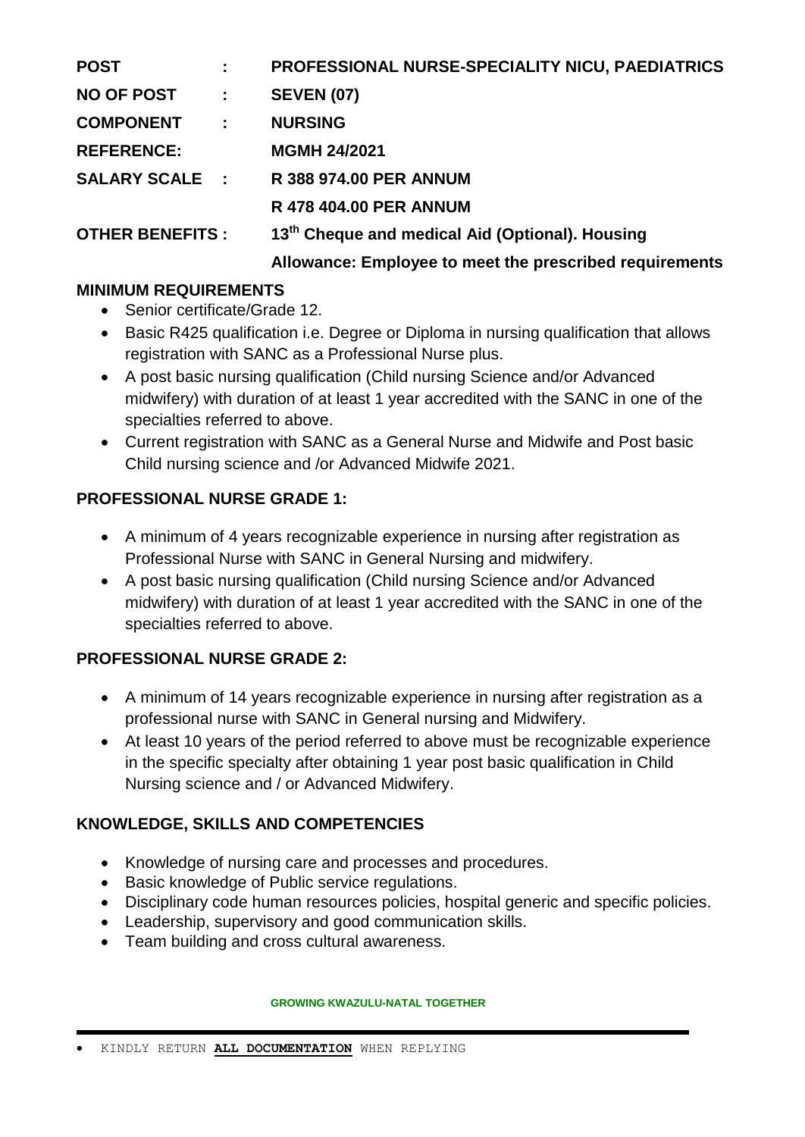| <b>POST</b>            |           | PROFESSIONAL NURSE-SPECIALITY NICU, PAEDIATRICS             |
|------------------------|-----------|-------------------------------------------------------------|
| <b>NO OF POST</b>      | $\sim 10$ | <b>SEVEN (07)</b>                                           |
| <b>COMPONENT :</b>     |           | <b>NURSING</b>                                              |
| <b>REFERENCE:</b>      |           | <b>MGMH 24/2021</b>                                         |
| <b>SALARY SCALE :</b>  |           | <b>R 388 974.00 PER ANNUM</b>                               |
|                        |           | <b>R 478 404.00 PER ANNUM</b>                               |
| <b>OTHER BENEFITS:</b> |           | 13 <sup>th</sup> Cheque and medical Aid (Optional). Housing |

## **Allowance: Employee to meet the prescribed requirements**

# **MINIMUM REQUIREMENTS**

- Senior certificate/Grade 12.
- Basic R425 qualification i.e. Degree or Diploma in nursing qualification that allows registration with SANC as a Professional Nurse plus.
- A post basic nursing qualification (Child nursing Science and/or Advanced midwifery) with duration of at least 1 year accredited with the SANC in one of the specialties referred to above.
- Current registration with SANC as a General Nurse and Midwife and Post basic Child nursing science and /or Advanced Midwife 2021.

# **PROFESSIONAL NURSE GRADE 1:**

- A minimum of 4 years recognizable experience in nursing after registration as Professional Nurse with SANC in General Nursing and midwifery.
- A post basic nursing qualification (Child nursing Science and/or Advanced midwifery) with duration of at least 1 year accredited with the SANC in one of the specialties referred to above.

# **PROFESSIONAL NURSE GRADE 2:**

- A minimum of 14 years recognizable experience in nursing after registration as a professional nurse with SANC in General nursing and Midwifery.
- At least 10 years of the period referred to above must be recognizable experience in the specific specialty after obtaining 1 year post basic qualification in Child Nursing science and / or Advanced Midwifery.

# **KNOWLEDGE, SKILLS AND COMPETENCIES**

- Knowledge of nursing care and processes and procedures.
- Basic knowledge of Public service regulations.
- Disciplinary code human resources policies, hospital generic and specific policies.
- Leadership, supervisory and good communication skills.
- Team building and cross cultural awareness.

**GROWING KWAZULU-NATAL TOGETHER**

KINDLY RETURN **ALL DOCUMENTATION** WHEN REPLYING